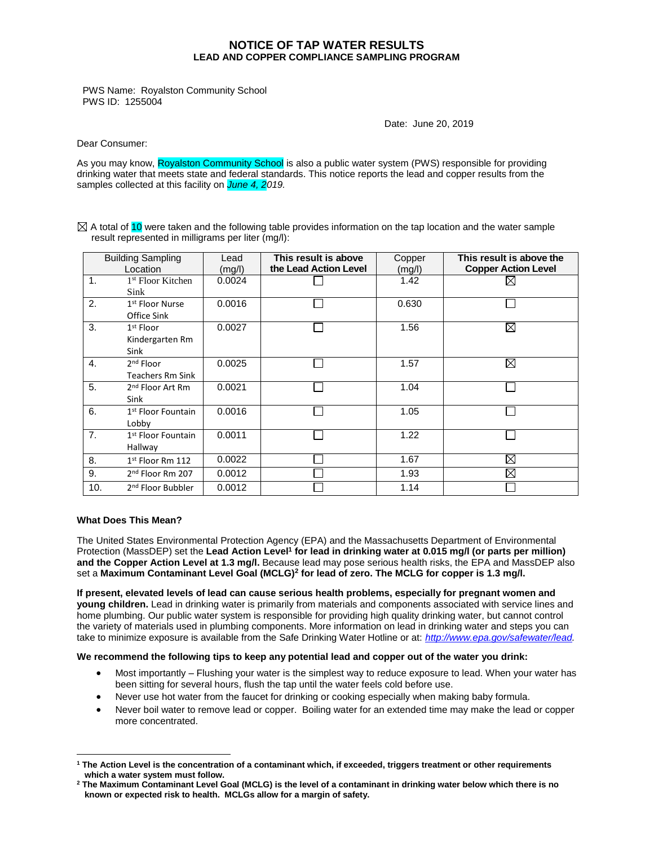## **NOTICE OF TAP WATER RESULTS LEAD AND COPPER COMPLIANCE SAMPLING PROGRAM**

PWS Name: Royalston Community School PWS ID: 1255004

Date: June 20, 2019

Dear Consumer:

As you may know, Royalston Community School is also a public water system (PWS) responsible for providing drinking water that meets state and federal standards. This notice reports the lead and copper results from the samples collected at this facility on *June 4, 2019.*

 $\boxtimes$  A total of 10 were taken and the following table provides information on the tap location and the water sample result represented in milligrams per liter (mg/l):

| <b>Building Sampling</b><br>Location |                                                  | Lead<br>(mg/l) | This result is above<br>the Lead Action Level | Copper<br>(mg/l) | This result is above the<br><b>Copper Action Level</b> |
|--------------------------------------|--------------------------------------------------|----------------|-----------------------------------------------|------------------|--------------------------------------------------------|
| $\mathbf{1}$ .                       | <sup>1st</sup> Floor Kitchen<br>Sink             | 0.0024         |                                               | 1.42             |                                                        |
| 2.                                   | 1 <sup>st</sup> Floor Nurse<br>Office Sink       | 0.0016         |                                               | 0.630            |                                                        |
| 3.                                   | 1 <sup>st</sup> Floor<br>Kindergarten Rm<br>Sink | 0.0027         |                                               | 1.56             | $\boxtimes$                                            |
| $\mathbf{4}$ .                       | 2 <sup>nd</sup> Floor<br><b>Teachers Rm Sink</b> | 0.0025         |                                               | 1.57             | $\boxtimes$                                            |
| 5.                                   | 2 <sup>nd</sup> Floor Art Rm<br>Sink             | 0.0021         |                                               | 1.04             |                                                        |
| 6.                                   | 1 <sup>st</sup> Floor Fountain<br>Lobby          | 0.0016         |                                               | 1.05             |                                                        |
| 7.                                   | 1 <sup>st</sup> Floor Fountain<br>Hallway        | 0.0011         |                                               | 1.22             |                                                        |
| 8.                                   | $1st$ Floor Rm 112                               | 0.0022         |                                               | 1.67             | $\boxtimes$                                            |
| 9.                                   | 2 <sup>nd</sup> Floor Rm 207                     | 0.0012         |                                               | 1.93             | $\boxtimes$                                            |
| 10.                                  | 2 <sup>nd</sup> Floor Bubbler                    | 0.0012         |                                               | 1.14             |                                                        |

## **What Does This Mean?**

 $\overline{a}$ 

The United States Environmental Protection Agency (EPA) and the Massachusetts Department of Environmental Protection (MassDEP) set the **Lead Action Level<sup>1</sup> for lead in drinking water at 0.015 mg/l (or parts per million) and the Copper Action Level at 1.3 mg/l.** Because lead may pose serious health risks, the EPA and MassDEP also set a **Maximum Contaminant Level Goal (MCLG)<sup>2</sup> for lead of zero. The MCLG for copper is 1.3 mg/l.**

**If present, elevated levels of lead can cause serious health problems, especially for pregnant women and young children.** Lead in drinking water is primarily from materials and components associated with service lines and home plumbing. Our public water system is responsible for providing high quality drinking water, but cannot control the variety of materials used in plumbing components. More information on lead in drinking water and steps you can take to minimize exposure is available from the Safe Drinking Water Hotline or at: *[http://www.epa.gov/safewater/lead.](http://www.epa.gov/safewater/lead)*

## **We recommend the following tips to keep any potential lead and copper out of the water you drink:**

- Most importantly Flushing your water is the simplest way to reduce exposure to lead. When your water has been sitting for several hours, flush the tap until the water feels cold before use.
- Never use hot water from the faucet for drinking or cooking especially when making baby formula.
- Never boil water to remove lead or copper. Boiling water for an extended time may make the lead or copper more concentrated.

**<sup>1</sup> The Action Level is the concentration of a contaminant which, if exceeded, triggers treatment or other requirements which a water system must follow.**

**<sup>2</sup> The Maximum Contaminant Level Goal (MCLG) is the level of a contaminant in drinking water below which there is no known or expected risk to health. MCLGs allow for a margin of safety.**